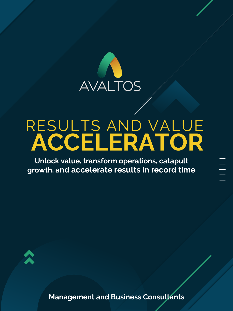

# RESULTS AND VALUE **ACCELERATOR**

**Unlock value, transform operations, catapult growth, and accelerate results in record time**



**Management and Business Consultants**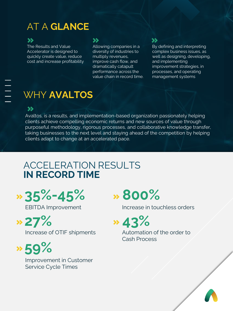# AT A **GLANCE**

## **SS**

The Results and Value Accelerator is designed to quickly create value, reduce cost and increase profitability

#### **>>**

Allowing companies in a diversity of industries to multiply revenues, improve cash flow, and dramatically catapult performance across the value chain in record time.

## **>>**

By defining and interpreting complex business issues, as well as designing, developing, and implementing improvement strategies, in processes, and operating management systems

# WHY **AVALTOS**

#### »

Avaltos, is a results, and implementation-based organization passionately helping clients achieve compelling economic returns and new sources of value through purposeful methodology, rigorous processes, and collaborative knowledge transfer, taking businesses to the next level and staying ahead of the competition by helping clients adapt to change at an accelerated pace.

# ACCELERATION RESULTS **IN RECORD TIME**

**35%-45%**

**27%**

Increase of OTIF shipments

**59%** Improvement in Customer Service Cycle Times

# **800%**

EBITDA Improvement Increase in touchless orders

**43%**

Automation of the order to Cash Process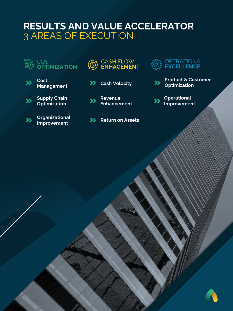# **RESULTS AND VALUE ACCELERATOR** 3 AREAS OF EXECUTION



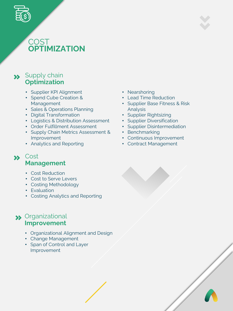

# COST<sub>1</sub> **OPTIMIZATION**

# **>>** Supply chain **Optimization**

- Supplier KPI Alignment
- Spend Cube Creation & Management
- Sales & Operations Planning
- Digital Transformation
- Logistics & Distribution Assessment
- Order Fulfillment Assessment
- Supply Chain Metrics Assessment & Improvement
- Analytics and Reporting

#### **XX** Cost **Management**

- Cost Reduction
- Cost to Serve Levers
- Costing Methodology
- Evaluation
- Costing Analytics and Reporting

## Organizational **Improvement**

- Organizational Alignment and Design
- Change Management
- Span of Control and Layer Improvement
- Nearshoring
- Lead Time Reduction
- Supplier Base Fitness & Risk Analysis
- Supplier Rightsizing
- Supplier Diversification
- Supplier Disintermediation
- Benchmarking
- Continuous Improvement
- Contract Management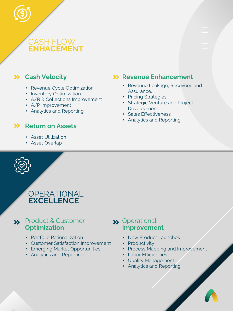

# **Cash Velocity**

- Revenue Cycle Optimization
- Inventory Optimization
- A/R & Collections Improvement
- A/P Improvement
- Analytics and Reporting

## **X** Return on Assets

- Asset Utilization
- Asset Overlap



# OPERATIONAL **EXCELLENCE**

## Product & Customer **Optimization**

- Portfolio Rationalization
- Customer Satisfaction Improvement
- Emerging Market Opportunities
- Analytics and Reporting

## **XX** Revenue Enhancement

- Revenue Leakage, Recovery, and Assurance,
- Pricing Strategies
- Strategic Venture and Project Development
- Sales Effectiveness
- Analytics and Reporting

- **>>** Operational **Improvement**
	- New Product Launches
	- Productivity
	- Process Mapping and Improvement
	- Labor Efficiencies
	- Quality Management
	- Analytics and Reporting